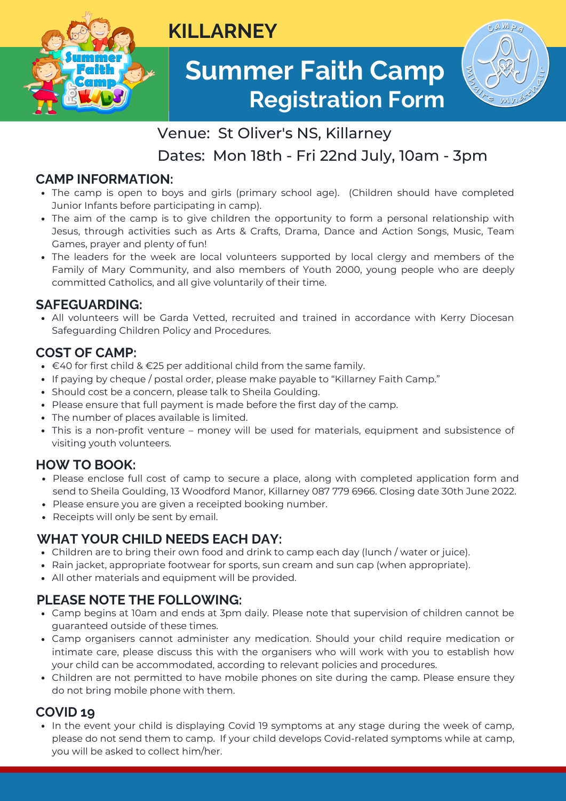

# **Summer Faith Camp Registration Form**



# Venue: St Oliver's NS, Killarney

**KILLARNEY**

# Dates: Mon 18th - Fri 22nd July, 10am - 3pm

### **CAMP INFORMATION:**

- The camp is open to boys and girls (primary school age). (Children should have completed Junior Infants before participating in camp).
- The aim of the camp is to give children the opportunity to form a personal relationship with Jesus, through activities such as Arts & Crafts, Drama, Dance and Action Songs, Music, Team Games, prayer and plenty of fun!
- The leaders for the week are local volunteers supported by local clergy and members of the Family of Mary Community, and also members of Youth 2000, young people who are deeply committed Catholics, and all give voluntarily of their time.

#### **SAFEGUARDING:**

All volunteers will be Garda Vetted, recruited and trained in accordance with Kerry Diocesan Safeguarding Children Policy and Procedures.

#### **COST OF CAMP:**

- $\bullet$  €40 for first child & €25 per additional child from the same family.
- If paying by cheque / postal order, please make payable to "Killarney Faith Camp."
- Should cost be a concern, please talk to Sheila Goulding.
- Please ensure that full payment is made before the first day of the camp.
- The number of places available is limited.
- This is a non-profit venture money will be used for materials, equipment and subsistence of visiting youth volunteers.

#### **HOW TO BOOK:**

- Please enclose full cost of camp to secure a place, along with completed application form and send to Sheila Goulding, 13 Woodford Manor, Killarney 087 779 6966. Closing date 30th June 2022.
- Please ensure you are given a receipted booking number.
- Receipts will only be sent by email.

#### **WHAT YOUR CHILD NEEDS EACH DAY:**

- Children are to bring their own food and drink to camp each day (lunch / water or juice).
- Rain jacket, appropriate footwear for sports, sun cream and sun cap (when appropriate).
- All other materials and equipment will be provided.

#### **PLEASE NOTE THE FOLLOWING:**

- Camp begins at 10am and ends at 3pm daily. Please note that supervision of children cannot be guaranteed outside of these times.
- Camp organisers cannot administer any medication. Should your child require medication or intimate care, please discuss this with the organisers who will work with you to establish how your child can be accommodated, according to relevant policies and procedures.
- Children are not permitted to have mobile phones on site during the camp. Please ensure they do not bring mobile phone with them.

#### **COVID 19**

• In the event your child is displaying Covid 19 symptoms at any stage during the week of camp, please do not send them to camp. If your child develops Covid-related symptoms while at camp, you will be asked to collect him/her.